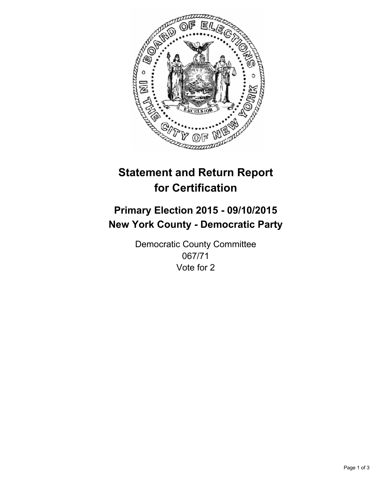

# **Statement and Return Report for Certification**

## **Primary Election 2015 - 09/10/2015 New York County - Democratic Party**

Democratic County Committee 067/71 Vote for 2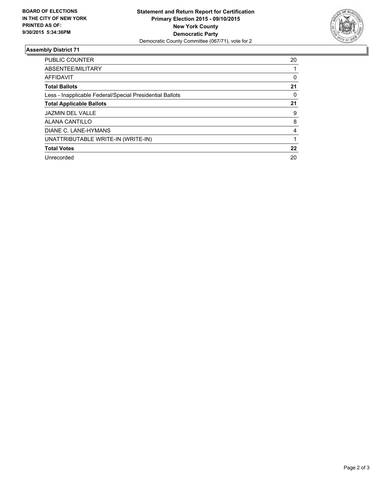

#### **Assembly District 71**

| <b>PUBLIC COUNTER</b>                                    | 20 |
|----------------------------------------------------------|----|
| ABSENTEE/MILITARY                                        |    |
| <b>AFFIDAVIT</b>                                         | 0  |
| <b>Total Ballots</b>                                     | 21 |
| Less - Inapplicable Federal/Special Presidential Ballots | 0  |
| <b>Total Applicable Ballots</b>                          | 21 |
| <b>JAZMIN DEL VALLE</b>                                  | 9  |
| <b>ALANA CANTILLO</b>                                    | 8  |
| DIANE C. LANE-HYMANS                                     | 4  |
| UNATTRIBUTABLE WRITE-IN (WRITE-IN)                       |    |
| <b>Total Votes</b>                                       | 22 |
| Unrecorded                                               | 20 |